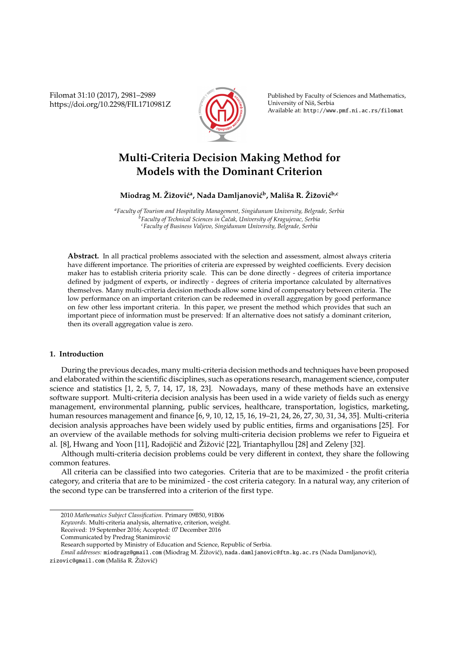Filomat 31:10 (2017), 2981–2989 https://doi.org/10.2298/FIL1710981Z



Published by Faculty of Sciences and Mathematics, University of Niš, Serbia Available at: http://www.pmf.ni.ac.rs/filomat

# **Multi-Criteria Decision Making Method for Models with the Dominant Criterion**

# $M$ iodrag M. Žižović<sup>a</sup>, Nada Damljanović<sup>b</sup>, Mališa R. Žižović<sup>b,c</sup>

*<sup>a</sup>Faculty of Tourism and Hospitality Management, Singidunum University, Belgrade, Serbia <sup>b</sup>Faculty of Technical Sciences in Caˇcak, University of Kragujevac, Serbia ˇ <sup>c</sup>Faculty of Business Valjevo, Singidunum University, Belgrade, Serbia*

**Abstract.** In all practical problems associated with the selection and assessment, almost always criteria have different importance. The priorities of criteria are expressed by weighted coefficients. Every decision maker has to establish criteria priority scale. This can be done directly - degrees of criteria importance defined by judgment of experts, or indirectly - degrees of criteria importance calculated by alternatives themselves. Many multi-criteria decision methods allow some kind of compensatory between criteria. The low performance on an important criterion can be redeemed in overall aggregation by good performance on few other less important criteria. In this paper, we present the method which provides that such an important piece of information must be preserved: If an alternative does not satisfy a dominant criterion, then its overall aggregation value is zero.

# **1. Introduction**

During the previous decades, many multi-criteria decision methods and techniques have been proposed and elaborated within the scientific disciplines, such as operations research, management science, computer science and statistics [1, 2, 5, 7, 14, 17, 18, 23]. Nowadays, many of these methods have an extensive software support. Multi-criteria decision analysis has been used in a wide variety of fields such as energy management, environmental planning, public services, healthcare, transportation, logistics, marketing, human resources management and finance [6, 9, 10, 12, 15, 16, 19–21, 24, 26, 27, 30, 31, 34, 35]. Multi-criteria decision analysis approaches have been widely used by public entities, firms and organisations [25]. For an overview of the available methods for solving multi-criteria decision problems we refer to Figueira et al. [8], Hwang and Yoon [11], Radojičić and Žižović [22], Triantaphyllou [28] and Zeleny [32].

Although multi-criteria decision problems could be very different in context, they share the following common features.

All criteria can be classified into two categories. Criteria that are to be maximized - the profit criteria category, and criteria that are to be minimized - the cost criteria category. In a natural way, any criterion of the second type can be transferred into a criterion of the first type.

*Email addresses:* miodragz@gmail.com (Miodrag M. Žižović), nada.damljanovic@ftn.kg.ac.rs (Nada Damljanović),

<sup>2010</sup> *Mathematics Subject Classification*. Primary 09B50, 91B06

*Keywords*. Multi-criteria analysis, alternative, criterion, weight.

Received: 19 September 2016; Accepted: 07 December 2016

Communicated by Predrag Stanimirovic´

Research supported by Ministry of Education and Science, Republic of Serbia.

zizovic@gmail.com (Mališa R. Žižović)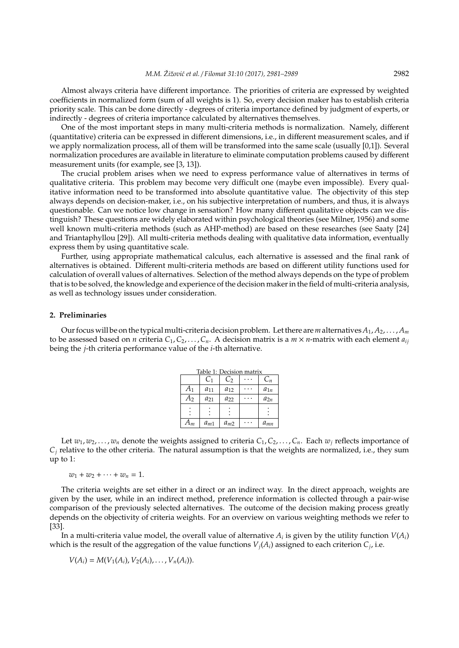Almost always criteria have different importance. The priorities of criteria are expressed by weighted coefficients in normalized form (sum of all weights is 1). So, every decision maker has to establish criteria priority scale. This can be done directly - degrees of criteria importance defined by judgment of experts, or indirectly - degrees of criteria importance calculated by alternatives themselves.

One of the most important steps in many multi-criteria methods is normalization. Namely, different (quantitative) criteria can be expressed in different dimensions, i.e., in different measurement scales, and if we apply normalization process, all of them will be transformed into the same scale (usually [0,1]). Several normalization procedures are available in literature to eliminate computation problems caused by different measurement units (for example, see [3, 13]).

The crucial problem arises when we need to express performance value of alternatives in terms of qualitative criteria. This problem may become very difficult one (maybe even impossible). Every qualitative information need to be transformed into absolute quantitative value. The objectivity of this step always depends on decision-maker, i.e., on his subjective interpretation of numbers, and thus, it is always questionable. Can we notice low change in sensation? How many different qualitative objects can we distinguish? These questions are widely elaborated within psychological theories (see Milner, 1956) and some well known multi-criteria methods (such as AHP-method) are based on these researches (see Saaty [24] and Triantaphyllou [29]). All multi-criteria methods dealing with qualitative data information, eventually express them by using quantitative scale.

Further, using appropriate mathematical calculus, each alternative is assessed and the final rank of alternatives is obtained. Different multi-criteria methods are based on different utility functions used for calculation of overall values of alternatives. Selection of the method always depends on the type of problem that is to be solved, the knowledge and experience of the decision maker in the field of multi-criteria analysis, as well as technology issues under consideration.

#### **2. Preliminaries**

Our focus will be on the typical multi-criteria decision problem. Let there are *m* alternatives  $A_1, A_2, \ldots, A_m$ to be assessed based on *n* criteria  $C_1, C_2, \ldots, C_n$ . A decision matrix is a  $m \times n$ -matrix with each element  $a_{ij}$ being the *j*-th criteria performance value of the *i*-th alternative.

| Table 1: Decision matrix |                |          |  |          |  |  |
|--------------------------|----------------|----------|--|----------|--|--|
|                          | C <sub>1</sub> | $C_2$    |  | $C_n$    |  |  |
| A <sub>1</sub>           | $a_{11}$       | $a_{12}$ |  | $a_{1n}$ |  |  |
| $A_2$                    | $a_{21}$       | $a_{22}$ |  | $a_{2n}$ |  |  |
|                          |                |          |  |          |  |  |
| $A_m$                    | $a_{m1}$       | $a_{m2}$ |  | $a_{mn}$ |  |  |

Let  $w_1, w_2, \ldots, w_n$  denote the weights assigned to criteria  $C_1, C_2, \ldots, C_n$ . Each  $w_j$  reflects importance of  $C_i$  relative to the other criteria. The natural assumption is that the weights are normalized, i.e., they sum up to 1:

 $w_1 + w_2 + \cdots + w_n = 1.$ 

The criteria weights are set either in a direct or an indirect way. In the direct approach, weights are given by the user, while in an indirect method, preference information is collected through a pair-wise comparison of the previously selected alternatives. The outcome of the decision making process greatly depends on the objectivity of criteria weights. For an overview on various weighting methods we refer to [33].

In a multi-criteria value model, the overall value of alternative  $A_i$  is given by the utility function  $V(A_i)$ which is the result of the aggregation of the value functions  $V_j(A_i)$  assigned to each criterion  $C_j$ , i.e.

$$
V(A_i) = M(V_1(A_i), V_2(A_i), \ldots, V_n(A_i)).
$$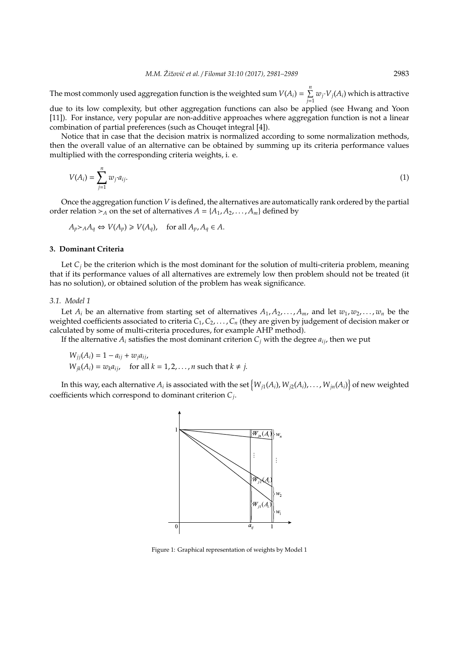The most commonly used aggregation function is the weighted sum  $V(A_i) = \sum_{i=1}^{n}$  $\sum\limits_{j=1}^n w_j \cdotp V_j(A_i)$  which is attractive

due to its low complexity, but other aggregation functions can also be applied (see Hwang and Yoon [11]). For instance, very popular are non-additive approaches where aggregation function is not a linear combination of partial preferences (such as Chouqet integral [4]).

Notice that in case that the decision matrix is normalized according to some normalization methods, then the overall value of an alternative can be obtained by summing up its criteria performance values multiplied with the corresponding criteria weights, i. e.

$$
V(A_i) = \sum_{j=1}^n w_j a_{ij}.
$$
 (1)

Once the aggregation function *V* is defined, the alternatives are automatically rank ordered by the partial order relation  $\succ_A$  on the set of alternatives  $A = \{A_1, A_2, \ldots, A_m\}$  defined by

 $A_p > A A_q \Leftrightarrow V(A_p) \geq V(A_q)$ , for all  $A_p, A_q \in A$ .

### **3. Dominant Criteria**

Let  $C_j$  be the criterion which is the most dominant for the solution of multi-criteria problem, meaning that if its performance values of all alternatives are extremely low then problem should not be treated (it has no solution), or obtained solution of the problem has weak significance.

## *3.1. Model 1*

Let  $A_i$  be an alternative from starting set of alternatives  $A_1, A_2, \ldots, A_m$ , and let  $w_1, w_2, \ldots, w_n$  be the weighted coefficients associated to criteria *C*1,*C*2, . . . ,*C<sup>n</sup>* (they are given by judgement of decision maker or calculated by some of multi-criteria procedures, for example AHP method).

If the alternative  $A_i$  satisfies the most dominant criterion  $C_j$  with the degree  $a_{ij}$ , then we put

 $W_{ii}(A_i) = 1 - a_{ii} + w_{i}a_{ii}$  $W_{ik}(A_i) = w_k a_{ij}$ , for all  $k = 1, 2, \ldots, n$  such that  $k \neq j$ .

In this way, each alternative  $A_i$  is associated with the set  $\big\{W_{j1}(A_i),W_{j2}(A_i),\ldots,W_{jn}(A_i)\big\}$  of new weighted coefficients which correspond to dominant criterion *C<sup>j</sup>* .



Figure 1: Graphical representation of weights by Model 1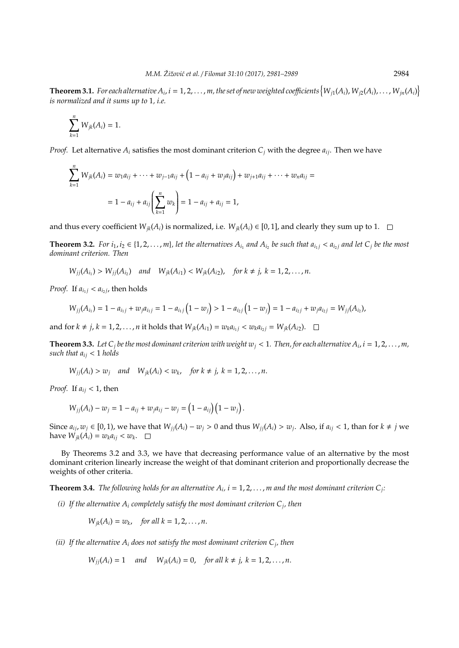**Theorem 3.1.** For each alternative  $A_i$ ,  $i=1,2,\ldots,m$ , the set of new weighted coefficients  $\left\{W_{j1}(A_i),W_{j2}(A_i),\ldots,W_{jn}(A_i)\right\}$ *is normalized and it sums up to* 1*, i.e.*

$$
\sum_{k=1}^n W_{jk}(A_i) = 1.
$$

*Proof.* Let alternative  $A_i$  satisfies the most dominant criterion  $C_i$  with the degree  $a_{ij}$ . Then we have

$$
\sum_{k=1}^{n} W_{jk}(A_i) = w_1 a_{ij} + \dots + w_{j-1} a_{ij} + (1 - a_{ij} + w_j a_{ij}) + w_{j+1} a_{ij} + \dots + w_n a_{ij} =
$$
  
= 1 - a\_{ij} + a\_{ij} \left( \sum\_{k=1}^{n} w\_k \right) = 1 - a\_{ij} + a\_{ij} = 1,

and thus every coefficient  $W_{jk}(A_i)$  is normalized, i.e.  $W_{jk}(A_i) \in [0,1]$ , and clearly they sum up to 1.  $\Box$ 

**Theorem 3.2.** For  $i_1, i_2 \in \{1, 2, ..., m\}$ , let the alternatives  $A_{i_1}$  and  $A_{i_2}$  be such that  $a_{i_1j} < a_{i_2j}$  and let  $C_j$  be the most *dominant criterion. Then*

$$
W_{jj}(A_{i_1}) > W_{jj}(A_{i_2})
$$
 and  $W_{jk}(A_{i_1}) < W_{jk}(A_{i_2})$ , for  $k \neq j$ ,  $k = 1, 2, ..., n$ .

*Proof.* If  $a_{i_1j} < a_{i_2j}$ , then holds

$$
W_{jj}(A_{i_1}) = 1 - a_{i_1j} + w_j a_{i_1j} = 1 - a_{i_1j}(1 - w_j) > 1 - a_{i_2j}(1 - w_j) = 1 - a_{i_2j} + w_j a_{i_2j} = W_{jj}(A_{i_2}),
$$

and for  $k \neq j$ ,  $k = 1, 2, ..., n$  it holds that  $W_{jk}(A_{i1}) = w_k a_{i_1 j} < w_k a_{i_2 j} = W_{jk}(A_{i2}).$ 

**Theorem 3.3.** Let  $C_j$  be the most dominant criterion with weight  $w_j < 1$ . Then, for each alternative  $A_i$ ,  $i = 1, 2, \ldots, m$ , *such that*  $a_{ij} < 1$  *holds* 

 $W_{jj}(A_i) > w_j$  *and*  $W_{jk}(A_i) < w_k$ , for  $k \neq j$ ,  $k = 1, 2, ..., n$ .

*Proof.* If  $a_{ij} < 1$ , then

$$
W_{jj}(A_i) - w_j = 1 - a_{ij} + w_j a_{ij} - w_j = (1 - a_{ij})(1 - w_j).
$$

Since  $a_{ij}$ ,  $w_j \in [0,1)$ , we have that  $W_{jj}(A_i) - w_j > 0$  and thus  $W_{jj}(A_i) > w_j$ . Also, if  $a_{ij} < 1$ , than for  $k \neq j$  we have  $W_{jk}(A_i) = w_k a_{ij} < w_k$ .

By Theorems 3.2 and 3.3, we have that decreasing performance value of an alternative by the most dominant criterion linearly increase the weight of that dominant criterion and proportionally decrease the weights of other criteria.

**Theorem 3.4.** *The following holds for an alternative*  $A_i$ *,*  $i = 1, 2, \ldots, m$  *and the most dominant criterion*  $C_j$ *:* 

*(i) If the alternative A<sup>i</sup> completely satisfy the most dominant criterion C<sup>j</sup> , then*

$$
W_{jk}(A_i) = w_k, \quad \text{for all } k = 1, 2, \ldots, n.
$$

*(ii) If the alternative A<sup>i</sup> does not satisfy the most dominant criterion C<sup>j</sup> , then*

 $W_{ii}(A_i) = 1$  *and*  $W_{ik}(A_i) = 0$ , *for all*  $k \neq j$ ,  $k = 1, 2, ..., n$ .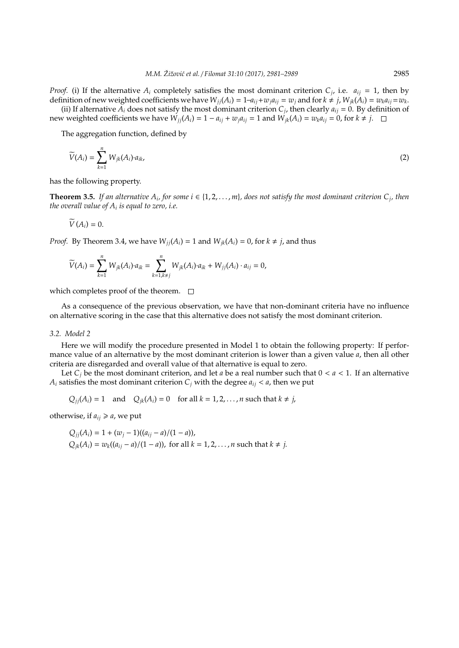*Proof.* (i) If the alternative  $A_i$  completely satisfies the most dominant criterion  $C_j$ , i.e.  $a_{ij} = 1$ , then by definition of new weighted coefficients we have  $W_{jj}(A_i) = 1 - a_{ij} + w_j a_{ij} = w_j$  and for  $k \neq j$ ,  $W_{jk}(A_i) = w_k a_{ij} = w_k$ .

(ii) If alternative  $A_i$  does not satisfy the most dominant criterion  $C_j$ , then clearly  $a_{ij} = 0$ . By definition of new weighted coefficients we have  $W_{ij}(A_i) = 1 - a_{ij} + w_j a_{ij} = 1$  and  $W_{ik}(A_i) = w_k a_{ij} = 0$ , for  $k \neq j$ .  $\square$ 

The aggregation function, defined by

$$
\widetilde{V}(A_i) = \sum_{k=1}^n W_{jk}(A_i) \cdot a_{ik},\tag{2}
$$

has the following property.

**Theorem 3.5.** If an alternative  $A_i$ , for some  $i \in \{1, 2, ..., m\}$ , does not satisfy the most dominant criterion  $C_j$ , then *the overall value of A<sup>i</sup> is equal to zero, i.e.*

$$
\widetilde{V}(A_i)=0.
$$

*Proof.* By Theorem 3.4, we have  $W_{ii}(A_i) = 1$  and  $W_{ik}(A_i) = 0$ , for  $k \neq j$ , and thus

$$
\widetilde{V}(A_i)=\sum_{k=1}^n W_{jk}(A_i)\cdot a_{ik}=\sum_{k=1,k\neq j}^n W_{jk}(A_i)\cdot a_{ik}+W_{jj}(A_i)\cdot a_{ij}=0,
$$

which completes proof of the theorem.  $\Box$ 

As a consequence of the previous observation, we have that non-dominant criteria have no influence on alternative scoring in the case that this alternative does not satisfy the most dominant criterion.

#### *3.2. Model 2*

Here we will modify the procedure presented in Model 1 to obtain the following property: If performance value of an alternative by the most dominant criterion is lower than a given value *a*, then all other criteria are disregarded and overall value of that alternative is equal to zero.

Let  $C_i$  be the most dominant criterion, and let *a* be a real number such that  $0 < a < 1$ . If an alternative *A*<sup>*i*</sup> satisfies the most dominant criterion  $C_j$  with the degree  $a_{ij} < a$ , then we put

 $Q_{ii}(A_i) = 1$  and  $Q_{ik}(A_i) = 0$  for all  $k = 1, 2, ..., n$  such that  $k \neq j$ ,

otherwise, if  $a_{ij} \ge a$ , we put

$$
Q_{jj}(A_i) = 1 + (w_j - 1)((a_{ij} - a)/(1 - a)),
$$
  
 
$$
Q_{jk}(A_i) = w_k((a_{ij} - a)/(1 - a)),
$$
 for all  $k = 1, 2, ..., n$  such that  $k \neq j$ .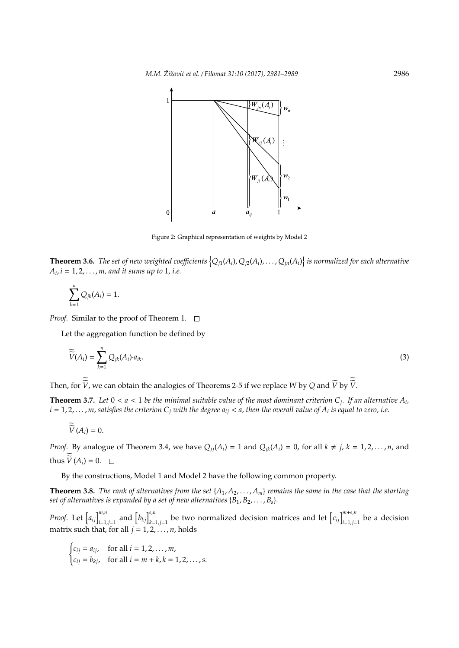

Figure 2: Graphical representation of weights by Model 2

**Theorem 3.6.** The set of new weighted coefficients  $\{Q_{j1}(A_i),Q_{j2}(A_i),\ldots,Q_{jn}(A_i)\}$  is normalized for each alternative *Ai* , *i* = 1, 2, . . . , *m, and it sums up to* 1*, i.e.*

$$
\sum_{k=1}^n Q_{jk}(A_i) = 1.
$$

*Proof.* Similar to the proof of Theorem 1.  $\Box$ 

Let the aggregation function be defined by

$$
\widetilde{\widetilde{V}}(A_i) = \sum_{k=1}^n Q_{jk}(A_i) \cdot a_{ik}.
$$
\n(3)

Then, for *V*, we can obtain the analogies of Theorems 2-5 if we replace *W* by *Q* and *V* by *V*.

**Theorem 3.7.** Let  $0 < a < 1$  be the minimal suitable value of the most dominant criterion  $C_j$ . If an alternative  $A_i$ ,  $i=1,2,\ldots,m,$  satisfies the criterion  $C_j$  with the degree  $a_{ij} < a$ , then the overall value of  $A_i$  is equal to zero, i.e.

$$
\widetilde{\widetilde{V}}(A_i)=0.
$$

*Proof.* By analogue of Theorem 3.4, we have  $Q_{jj}(A_i) = 1$  and  $Q_{jk}(A_i) = 0$ , for all  $k \neq j$ ,  $k = 1, 2, ..., n$ , and thus  $V(A_i) = 0$ .

By the constructions, Model 1 and Model 2 have the following common property.

**Theorem 3.8.** *The rank of alternatives from the set*  $\{A_1, A_2, \ldots, A_m\}$  *remains the same in the case that the starting set of alternatives is expanded by a set of new alternatives*  ${B_1, B_2, \ldots, B_s}$ .

*Proof.* Let  $\left[a_{ij}\right]_{i=1,j=1}^{m,n}$  and  $\left[b_{kj}\right]_{k=1,j=1}^{s,n}$  be two normalized decision matrices and let  $\left[c_{ij}\right]_{i=1,j=1}^{m+s,n}$  be a decision matrix such that, for all  $j = 1, 2, \ldots, n$ , holds

$$
\begin{cases} c_{ij} = a_{ij}, & \text{for all } i = 1, 2, ..., m, \\ c_{ij} = b_{kj}, & \text{for all } i = m + k, k = 1, 2, ..., s. \end{cases}
$$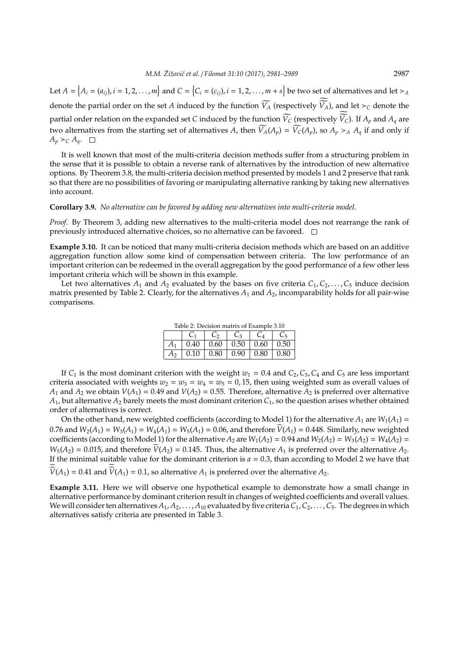Let  $A=\big\{A_i=(a_{ij}),i=1,2,\ldots,m\big\}$  and  $C=\big\{C_i=(c_{ij}),i=1,2,\ldots,m+s\big\}$  be two set of alternatives and let  $\succ_A$ denote the partial order on the set *A* induced by the function  $\widetilde{V_A}$  (respectively  $\widetilde{V_A}$ ), and let  $\succ_C$  denote the partial order relation on the expanded set *C* induced by the function  $V_C$  (respectively  $V_C$ ). If  $A_p$  and  $A_q$  are two alternatives from the starting set of alternatives *A*, then  $\widetilde{V}_A(A_p) = \widetilde{V}_C(A_p)$ , so  $A_p \succ_A A_q$  if and only if  $A_p \succ_C A_q$ .  $\Box$ 

It is well known that most of the multi-criteria decision methods suffer from a structuring problem in the sense that it is possible to obtain a reverse rank of alternatives by the introduction of new alternative options. By Theorem 3.8, the multi-criteria decision method presented by models 1 and 2 preserve that rank so that there are no possibilities of favoring or manipulating alternative ranking by taking new alternatives into account.

#### **Corollary 3.9.** *No alternative can be favored by adding new alternatives into multi-criteria model.*

*Proof.* By Theorem 3, adding new alternatives to the multi-criteria model does not rearrange the rank of previously introduced alternative choices, so no alternative can be favored.  $\square$ 

**Example 3.10.** It can be noticed that many multi-criteria decision methods which are based on an additive aggregation function allow some kind of compensation between criteria. The low performance of an important criterion can be redeemed in the overall aggregation by the good performance of a few other less important criteria which will be shown in this example.

Let two alternatives  $A_1$  and  $A_2$  evaluated by the bases on five criteria  $C_1, C_2, \ldots, C_5$  induce decision matrix presented by Table 2. Clearly, for the alternatives *A*<sup>1</sup> and *A*2, incomparability holds for all pair-wise comparisons.

| Table 2: Decision matrix of Example 3.10 |             |                    |         |       |      |  |
|------------------------------------------|-------------|--------------------|---------|-------|------|--|
|                                          |             | C <sub>2</sub>     | $C_{3}$ | $C_4$ |      |  |
| $A_1$                                    | $\mid$ 0.40 | $\vert 0.60 \vert$ | 0.50    | 0.60  | 0.50 |  |
| A۰                                       | 0.10        | $\vert 0.80 \vert$ | 0.90    | 0.80  | 0.80 |  |

If  $C_1$  is the most dominant criterion with the weight  $w_1 = 0.4$  and  $C_2$ ,  $C_3$ ,  $C_4$  and  $C_5$  are less important criteria associated with weights  $w_2 = w_3 = w_4 = w_5 = 0$ , 15, then using weighted sum as overall values of *A*<sub>1</sub> and *A*<sub>2</sub> we obtain *V*(*A*<sub>1</sub>) = 0.49 and *V*(*A*<sub>2</sub>) = 0.55. Therefore, alternative *A*<sub>2</sub> is preferred over alternative  $A_1$ , but alternative  $A_2$  barely meets the most dominant criterion  $C_1$ , so the question arises whether obtained order of alternatives is correct.

On the other hand, new weighted coefficients (according to Model 1) for the alternative  $A_1$  are  $W_1(A_1)$  = 0.76 and  $W_2(A_1) = W_3(A_1) = W_4(A_1) = W_5(A_1) = 0.06$ , and therefore  $V(A_1) = 0.448$ . Similarly, new weighted coefficients (according to Model 1) for the alternative  $A_2$  are  $W_1(A_2) = 0.94$  and  $W_2(A_2) = W_3(A_2) = W_4(A_2) =$  $W_5(A_2) = 0.015$ , and therefore  $\widetilde{V}(A_2) = 0.145$ . Thus, the alternative  $A_1$  is preferred over the alternative  $A_2$ . If the minimal suitable value for the dominant criterion is  $a = 0.3$ , than according to Model 2 we have that  $V(A_1) = 0.41$  and  $V(A_1) = 0.1$ , so alternative  $A_1$  is preferred over the alternative  $A_2$ .

**Example 3.11.** Here we will observe one hypothetical example to demonstrate how a small change in alternative performance by dominant criterion result in changes of weighted coefficients and overall values. We will consider ten alternatives  $A_1, A_2, \ldots, A_{10}$  evaluated by five criteria  $C_1, C_2, \ldots, C_5$ . The degrees in which alternatives satisfy criteria are presented in Table 3.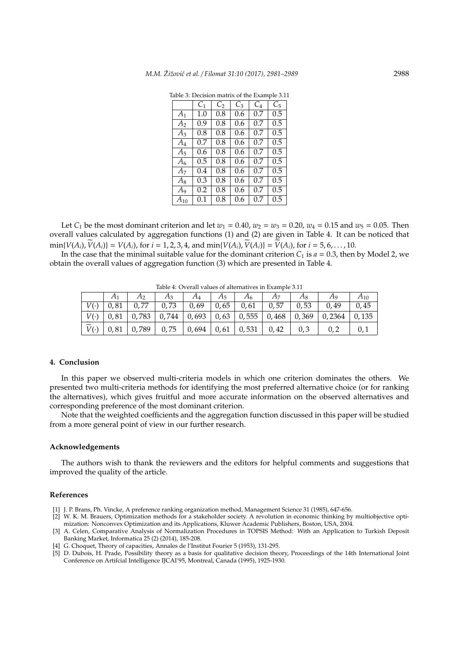| $C_{1}$ | $C_2$ | $C_3$ | $C_4$ | C5      |
|---------|-------|-------|-------|---------|
| 1.0     | 0.8   | 0.6   | 0.7   | 0.5     |
| 0.9     | 0.8   | 0.6   | 0.7   | 0.5     |
| 0.8     | 0.8   | 0.6   | 0.7   | 0.5     |
| 0.7     | 0.8   | 0.6   | 0.7   | 0.5     |
| 0.6     | 0.8   | 0.6   | 0.7   | $0.5\,$ |
| 0.5     | 0.8   | 0.6   | 0.7   | 0.5     |
| 0.4     | 0.8   | 0.6   | 0.7   | 0.5     |
| 0.3     | 0.8   | 0.6   | 0.7   | $0.5\,$ |
| 0.2     | 0.8   | 0.6   | 0.7   | 0.5     |
| $0.1\,$ | 0.8   | 0.6   | 0.7   | 0.5     |
|         |       |       |       |         |

Table 3: Decision matrix of the Example 3.11

Let *C*<sub>1</sub> be the most dominant criterion and let  $w_1 = 0.40$ ,  $w_2 = w_3 = 0.20$ ,  $w_4 = 0.15$  and  $w_5 = 0.05$ . Then overall values calculated by aggregation functions (1) and (2) are given in Table 4. It can be noticed that  $\min\{V(A_i), V(A_i)\} = V(A_i)$ , for  $i = 1, 2, 3, 4$ , and  $\min\{V(A_i), V(A_i)\} = V(A_i)$ , for  $i = 5, 6, ..., 10$ .

In the case that the minimal suitable value for the dominant criterion  $C_1$  is  $a = 0.3$ , then by Model 2, we obtain the overall values of aggregation function (3) which are presented in Table 4.

|                       | <u>iacie il columnature di anchiamo in maniferenti di </u> |      |       |       |      |                |       |       |        |          |
|-----------------------|------------------------------------------------------------|------|-------|-------|------|----------------|-------|-------|--------|----------|
|                       |                                                            |      | $A_3$ | $A_4$ | A5   | A <sub>6</sub> |       | $A_8$ | Aq     | $A_{10}$ |
|                       | 81                                                         | 0,77 | 0,73  | 0,69  | 0,65 | 0,61           | 0,57  | 0,53  | 0,49   | 0,45     |
| $\tilde{\phantom{a}}$ | 0.81                                                       | .783 | 0,744 | 0,693 | 0,63 | 0,555          | 0,468 | 0,369 | 0,2364 | 135      |
| $\bar{ }$             | 0.81                                                       | 789, | 0,75  | 0,694 | 0,61 | 0,531          | 0,42  | 0,3   |        |          |

Table 4: Overall values of alternatives in Example 3.11

#### **4. Conclusion**

In this paper we observed multi-criteria models in which one criterion dominates the others. We presented two multi-criteria methods for identifying the most preferred alternative choice (or for ranking the alternatives), which gives fruitful and more accurate information on the observed alternatives and corresponding preference of the most dominant criterion.

Note that the weighted coefficients and the aggregation function discussed in this paper will be studied from a more general point of view in our further research.

#### **Acknowledgements**

The authors wish to thank the reviewers and the editors for helpful comments and suggestions that improved the quality of the article.

#### **References**

- [1] J. P. Brans, Ph. Vincke, A preference ranking organization method, Management Science 31 (1985), 647-656.
- [2] W. K. M. Brauers, Optimization methods for a stakeholder society. A revolution in economic thinking by multiobjective optimization: Nonconvex Optimization and its Applications, Kluwer Academic Publishers, Boston, USA, 2004.
- [3] A. Celen, Comparative Analysis of Normalization Procedures in TOPSIS Method: With an Application to Turkish Deposit Banking Market, Informatica 25 (2) (2014), 185-208.
- [4] G. Choquet, Theory of capacities, Annales de l'Institut Fourier 5 (1953), 131-295.
- [5] D. Dubois, H. Prade, Possibility theory as a basis for qualitative decision theory, Proceedings of the 14th International Joint Conference on Artifcial Intelligence IJCAI'95, Montreal, Canada (1995), 1925-1930.